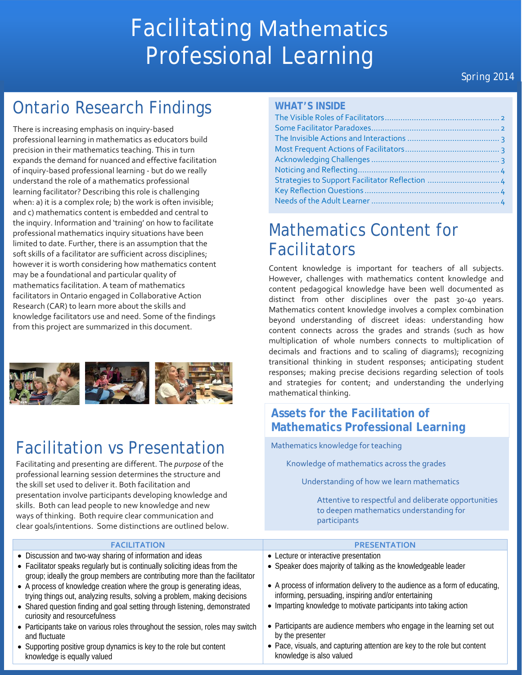# Facilitating Mathematics Professional Learning

### *Spring 2014*

# Ontario Research Findings

There is increasing emphasis on inquiry-based professional learning in mathematics as educators build precision in their mathematics teaching. This in turn expands the demand for nuanced and effective facilitation of inquiry-based professional learning - but do we really understand the role of a mathematics professional learning facilitator? Describing this role is challenging when: a) it is a complex role; b) the work is often invisible; and c) mathematics content is embedded and central to the inquiry. Information and 'training' on how to facilitate professional mathematics inquiry situations have been limited to date. Further, there is an assumption that the soft skills of a facilitator are sufficient across disciplines; however it is worth considering how mathematics content may be a foundational and particular quality of mathematics facilitation. A team of mathematics facilitators in Ontario engaged in Collaborative Action Research (CAR) to learn more about the skills and knowledge facilitators use and need. Some of the findings from this project are summarized in this document.



# Facilitation vs Presentation

Facilitating and presenting are different. The *purpose* of the professional learning session determines the structure and the skill set used to deliver it. Both facilitation and presentation involve participants developing knowledge and skills. Both can lead people to new knowledge and new ways of thinking. Both require clear communication and clear goals/intentions. Some distinctions are outlined below.

| <b>WHAT'S INSIDE</b> |  |  |
|----------------------|--|--|
|                      |  |  |

# Mathematics Content for Facilitators

Content knowledge is important for teachers of all subjects. However, challenges with mathematics content knowledge and content pedagogical knowledge have been well documented as distinct from other disciplines over the past 30-40 years. Mathematics content knowledge involves a complex combination beyond understanding of discreet ideas: understanding how content connects across the grades and strands (such as how multiplication of whole numbers connects to multiplication of decimals and fractions and to scaling of diagrams); recognizing transitional thinking in student responses; anticipating student responses; making precise decisions regarding selection of tools and strategies for content; and understanding the underlying mathematical thinking.

### **Assets for the Facilitation of Mathematics Professional Learning**

Mathematics knowledge for teaching

Knowledge of mathematics across the grades

Understanding of how we learn mathematics

Attentive to respectful and deliberate opportunities to deepen mathematics understanding for participants

| <b>FACILITATION</b>                                                                                                                                        | <b>PRESENTATION</b>                                                                                                                 |
|------------------------------------------------------------------------------------------------------------------------------------------------------------|-------------------------------------------------------------------------------------------------------------------------------------|
| • Discussion and two-way sharing of information and ideas                                                                                                  | • Lecture or interactive presentation                                                                                               |
| • Facilitator speaks regularly but is continually soliciting ideas from the<br>group; ideally the group members are contributing more than the facilitator | • Speaker does majority of talking as the knowledgeable leader                                                                      |
| • A process of knowledge creation where the group is generating ideas,<br>trying things out, analyzing results, solving a problem, making decisions        | • A process of information delivery to the audience as a form of educating,<br>informing, persuading, inspiring and/or entertaining |
| • Shared question finding and goal setting through listening, demonstrated<br>curiosity and resourcefulness                                                | • Imparting knowledge to motivate participants into taking action                                                                   |
| • Participants take on various roles throughout the session, roles may switch<br>and fluctuate                                                             | • Participants are audience members who engage in the learning set out<br>by the presenter                                          |
| • Supporting positive group dynamics is key to the role but content<br>knowledge is equally valued                                                         | • Pace, visuals, and capturing attention are key to the role but content<br>knowledge is also valued                                |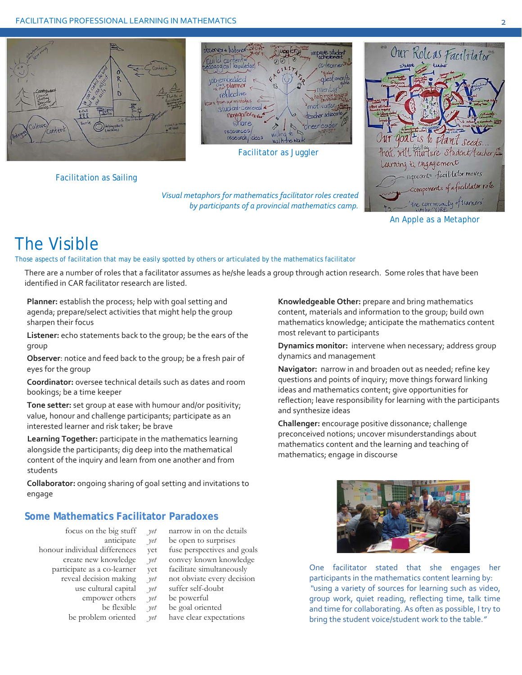

Facilitation as Sailing



Facilitator as Juggler

*Visual metaphors for mathematics facilitator roles created by participants of a provincial mathematics camp.* 



An Apple as a Metaphor

# The Visible

#### Those aspects of facilitation that may be easily spotted by others or articulated by the mathematics facilitator

There are a number of roles that a facilitator assumes as he/she leads a group through action research. Some roles that have been identified in CAR facilitator research are listed.

**Planner:** establish the process; help with goal setting and agenda; prepare/select activities that might help the group sharpen their focus

**Listener:** echo statements back to the group; be the ears of the group

**Observer**: notice and feed back to the group; be a fresh pair of eyes for the group

**Coordinator:** oversee technical details such as dates and room bookings; be a time keeper

**Tone setter:** set group at ease with humour and/or positivity; value, honour and challenge participants; participate as an interested learner and risk taker; be brave

**Learning Together:** participate in the mathematics learning alongside the participants; dig deep into the mathematical content of the inquiry and learn from one another and from students

**Collaborator:** ongoing sharing of goal setting and invitations to engage

#### **Some Mathematics Facilitator Paradoxes**

- 
- -
	-
	-
	- use cultural capital *yet* suffer self-doubt
		- empower others *yet* be powerful
		-
		- be flexible *yet* be goal oriented<br>be problem oriented *yet* have clear expected.
- focus on the big stuff *yet* narrow in on the details
	- anticipate *yet* be open to surprises
- honour individual differences yet fuse perspectives and goals
	- create new knowledge *yet* convey known knowledge
	- participate as a co-learner yet facilitate simultaneously
		- reveal decision making *yet* not obviate every decision
			-
			-
			-
			- *yet* have clear expectations

**Knowledgeable Other:** prepare and bring mathematics content, materials and information to the group; build own mathematics knowledge; anticipate the mathematics content most relevant to participants

**Dynamics monitor:** intervene when necessary; address group dynamics and management

**Navigator:** narrow in and broaden out as needed; refine key questions and points of inquiry; move things forward linking ideas and mathematics content; give opportunities for reflection; leave responsibility for learning with the participants and synthesize ideas

**Challenger:** encourage positive dissonance; challenge preconceived notions; uncover misunderstandings about mathematics content and the learning and teaching of mathematics; engage in discourse



One facilitator stated that she engages her participants in the mathematics content learning by: *"*using a variety of sources for learning such as video, group work, quiet reading, reflecting time, talk time and time for collaborating. As often as possible, I try to bring the student voice/student work to the table.*"*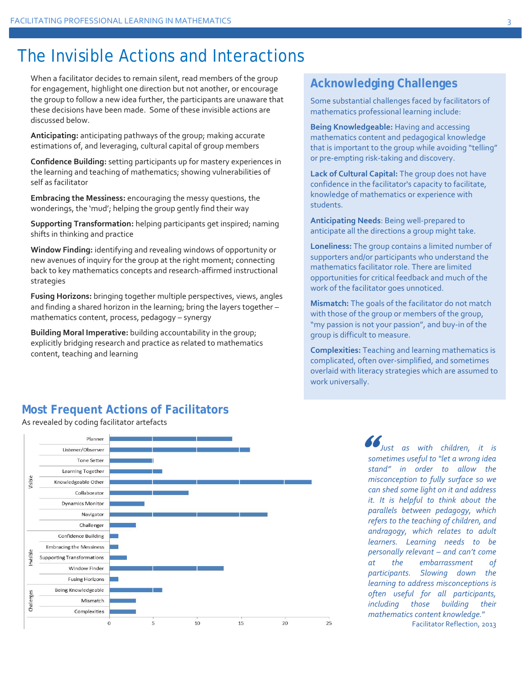### The Invisible Actions and Interactions

When a facilitator decides to remain silent, read members of the group for engagement, highlight one direction but not another, or encourage the group to follow a new idea further, the participants are unaware that these decisions have been made. Some of these invisible actions are discussed below.

**Anticipating:** anticipating pathways of the group; making accurate estimations of, and leveraging, cultural capital of group members

**Confidence Building:** setting participants up for mastery experiences in the learning and teaching of mathematics; showing vulnerabilities of self as facilitator

**Embracing the Messiness:** encouraging the messy questions, the wonderings, the 'mud'; helping the group gently find their way

**Supporting Transformation:** helping participants get inspired; naming shifts in thinking and practice

**Window Finding:** identifying and revealing windows of opportunity or new avenues of inquiry for the group at the right moment; connecting back to key mathematics concepts and research-affirmed instructional strategies

**Fusing Horizons:** bringing together multiple perspectives, views, angles and finding a shared horizon in the learning; bring the layers together – mathematics content, process, pedagogy – synergy

**Building Moral Imperative:** building accountability in the group; explicitly bridging research and practice as related to mathematics content, teaching and learning

### **Acknowledging Challenges**

Some substantial challenges faced by facilitators of mathematics professional learning include:

**Being Knowledgeable:** Having and accessing mathematics content and pedagogical knowledge that is important to the group while avoiding "telling" or pre-empting risk-taking and discovery.

**Lack of Cultural Capital:** The group does not have confidence in the facilitator's capacity to facilitate, knowledge of mathematics or experience with students.

**Anticipating Needs**: Being well-prepared to anticipate all the directions a group might take.

**Loneliness:** The group contains a limited number of supporters and/or participants who understand the mathematics facilitator role. There are limited opportunities for critical feedback and much of the work of the facilitator goes unnoticed.

**Mismatch:** The goals of the facilitator do not match with those of the group or members of the group, "my passion is not your passion", and buy-in of the group is difficult to measure.

**Complexities:** Teaching and learning mathematics is complicated, often over-simplified, and sometimes overlaid with literacy strategies which are assumed to work universally.

### **Most Frequent Actions of Facilitators**

As revealed by coding facilitator artefacts



 $\mathcal{I}_{\mathsf{Just}}$  as with children, it is *sometimes useful to "let a wrong idea stand" in order to allow the misconception to fully surface so we can shed some light on it and address it. It is helpful to think about the parallels between pedagogy, which refers to the teaching of children, and andragogy, which relates to adult learners. Learning needs to be personally relevant – and can't come at the embarrassment of participants. Slowing down the learning to address misconceptions is often useful for all participants, including those building their mathematics content knowledge.*" Facilitator Reflection, 2013